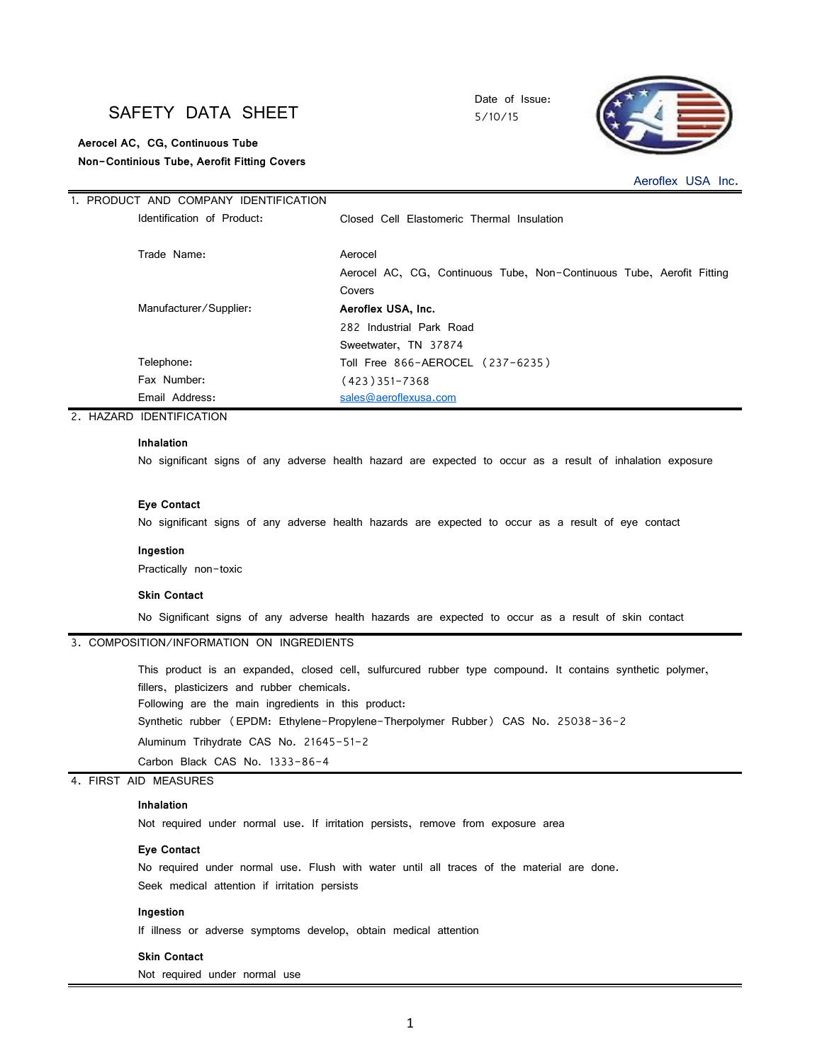# SAFETY DATA SHEET

1. PRODUCT AND COMPANY IDENTIFICATION

 **Aerocel AC, CG, Continuous Tube Non-Continious Tube, Aerofit Fitting Covers** Date of Issue: 5/10/15



Aeroflex USA Inc.

| I. PRODUCT AND COMPANY IDENTIFICATION |                                                                       |
|---------------------------------------|-----------------------------------------------------------------------|
| Identification of Product:            | Closed Cell Elastomeric Thermal Insulation                            |
| Trade Name:                           | Aerocel                                                               |
|                                       | Aerocel AC, CG, Continuous Tube, Non-Continuous Tube, Aerofit Fitting |
|                                       | Covers                                                                |
| Manufacturer/Supplier:                | Aeroflex USA, Inc.                                                    |
|                                       | 282 Industrial Park Road                                              |
|                                       | Sweetwater, TN 37874                                                  |
| Telephone:                            | Toll Free 866-AEROCEL (237-6235)                                      |
| Fax Number:                           | (423)351-7368                                                         |
| Email Address:                        | sales@aeroflexusa.com                                                 |
|                                       |                                                                       |

2. HAZARD IDENTIFICATION

## **Inhalation**

No significant signs of any adverse health hazard are expected to occur as a result of inhalation exposure

#### **Eye Contact**

No significant signs of any adverse health hazards are expected to occur as a result of eye contact

#### **Ingestion**

Practically non-toxic

#### **Skin Contact**

No Significant signs of any adverse health hazards are expected to occur as a result of skin contact

# 3. COMPOSITION/INFORMATION ON INGREDIENTS

This product is an expanded, closed cell, sulfurcured rubber type compound. It contains synthetic polymer, fillers, plasticizers and rubber chemicals.

Following are the main ingredients in this product:

Synthetic rubber (EPDM: Ethylene-Propylene-Therpolymer Rubber) CAS No. 25038-36-2

Aluminum Trihydrate CAS No. 21645-51-2

Carbon Black CAS No. 1333-86-4

### 4. FIRST AID MEASURES

### **Inhalation**

Not required under normal use. If irritation persists, remove from exposure area

#### **Eye Contact**

No required under normal use. Flush with water until all traces of the material are done. Seek medical attention if irritation persists

#### **Ingestion**

If illness or adverse symptoms develop, obtain medical attention

#### **Skin Contact**

Not required under normal use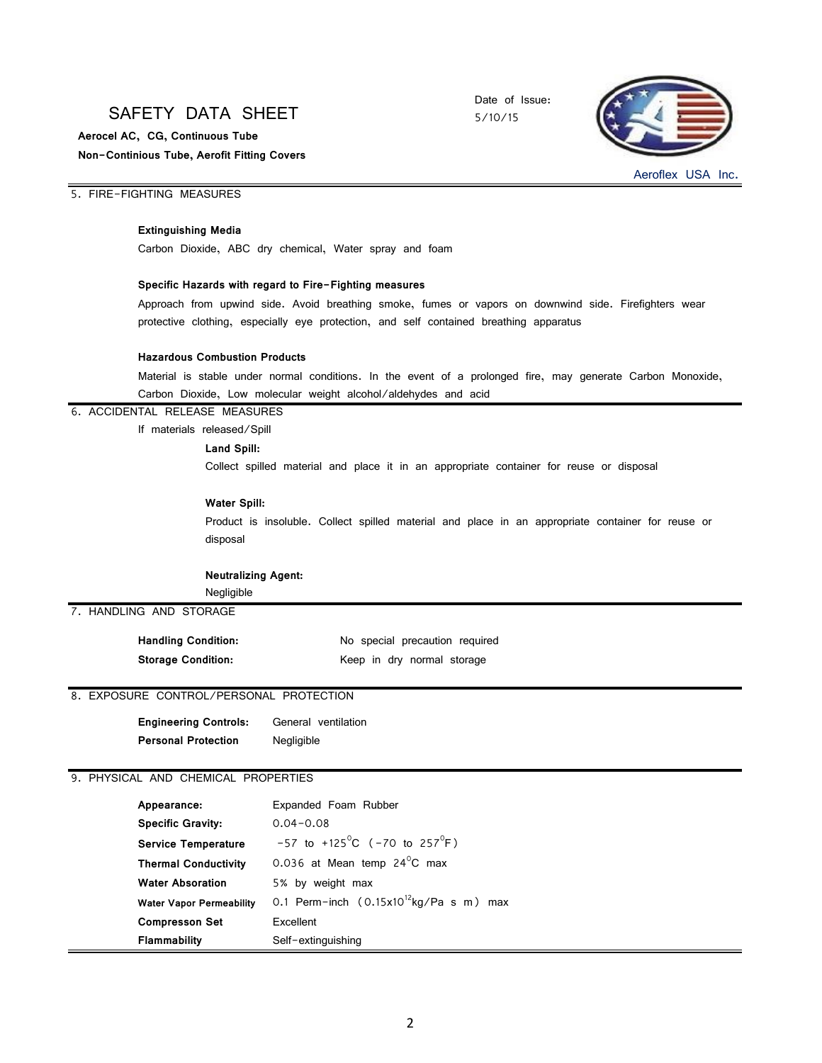# SAFETY DATA SHEET

 **Non-Continious Tube, Aerofit Fitting Covers Aerocel AC, CG, Continuous Tube**

Date of Issue: 5/10/15



Aeroflex USA Inc.

# 5. FIRE-FIGHTING MEASURES

## **Extinguishing Media**

Carbon Dioxide, ABC dry chemical, Water spray and foam

#### **Specific Hazards with regard to Fire-Fighting measures**

Approach from upwind side. Avoid breathing smoke, fumes or vapors on downwind side. Firefighters wear protective clothing, especially eye protection, and self contained breathing apparatus

#### **Hazardous Combustion Products**

Material is stable under normal conditions. In the event of a prolonged fire, may generate Carbon Monoxide, Carbon Dioxide, Low molecular weight alcohol/aldehydes and acid

#### 6. ACCIDENTAL RELEASE MEASURES

If materials released/Spill

#### **Land Spill:**

Collect spilled material and place it in an appropriate container for reuse or disposal

#### **Water Spill:**

Product is insoluble. Collect spilled material and place in an appropriate container for reuse or disposal

#### **Neutralizing Agent:**

Negligible

7. HANDLING AND STORAGE

| <b>Handling Condition:</b> | No special precaution required |
|----------------------------|--------------------------------|
| <b>Storage Condition:</b>  | Keep in dry normal storage     |

# 8. EXPOSURE CONTROL/PERSONAL PROTECTION

| <b>Engineering Controls:</b> | General ventilation |
|------------------------------|---------------------|
| <b>Personal Protection</b>   | Negligible          |

### 9. PHYSICAL AND CHEMICAL PROPERTIES

| Appearance:                     | Expanded Foam Rubber                                  |
|---------------------------------|-------------------------------------------------------|
| <b>Specific Gravity:</b>        | $0.04 - 0.08$                                         |
| <b>Service Temperature</b>      | $-57$ to $+125^{\circ}$ C ( $-70$ to $257^{\circ}$ F) |
| <b>Thermal Conductivity</b>     | 0.036 at Mean temp $24^{\circ}$ C max                 |
| <b>Water Absoration</b>         | 5% by weight max                                      |
| <b>Water Vapor Permeability</b> | 0.1 Perm-inch $(0.15x10^{12}kg/Pa \ s \ m)$ max       |
| <b>Compresson Set</b>           | Excellent                                             |
| <b>Flammability</b>             | Self-extinguishing                                    |